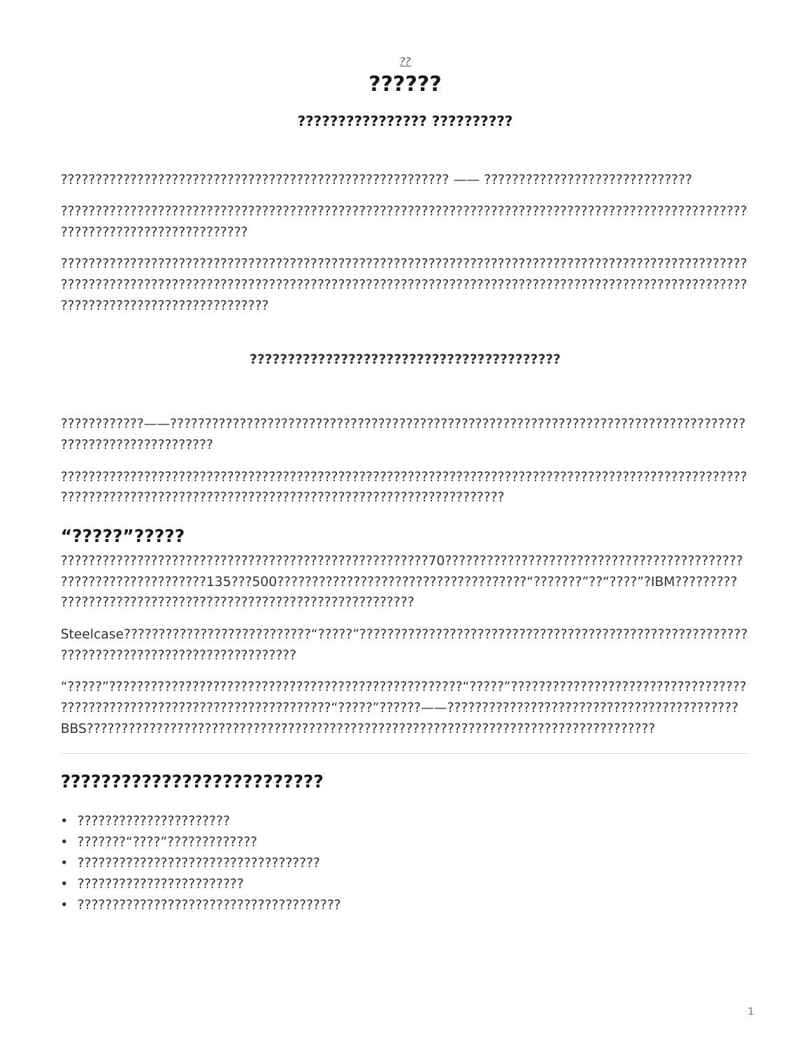

#### ???????????????? ??????????

???????????????????????????

### 

???????????????????????

## "?????"?????

# ??????????????????????????

- 
- 
- 
- 
-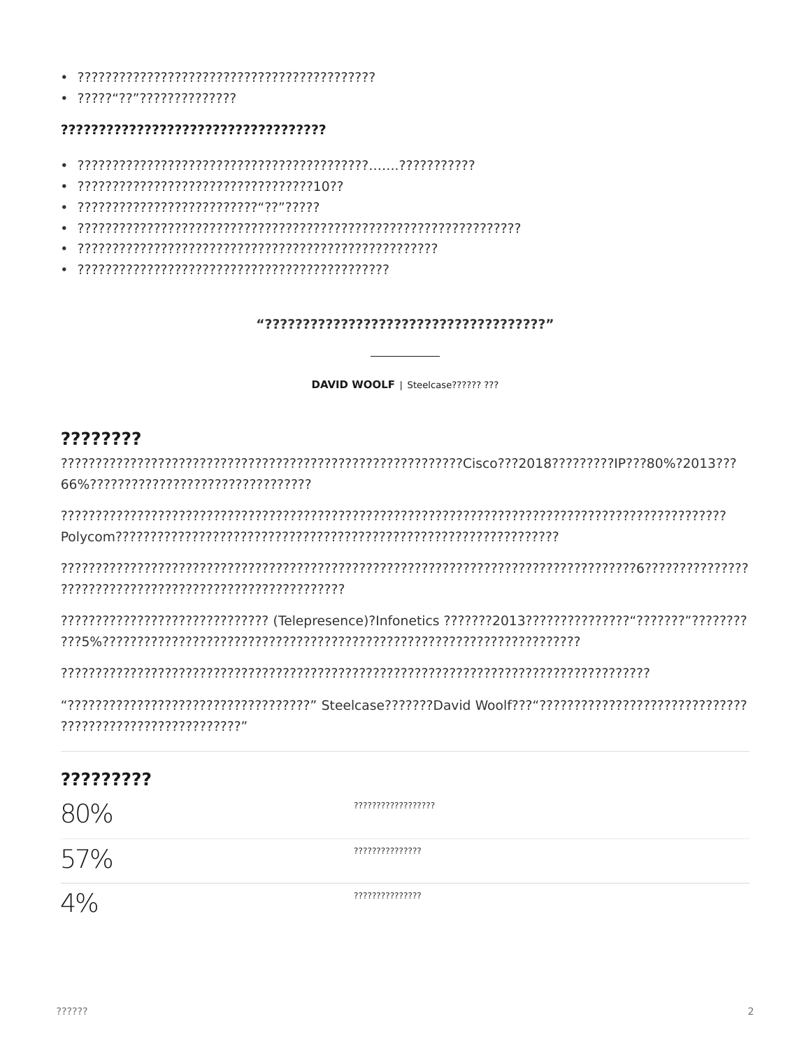- 
- $.77777777777777777777777799$

### 

- 
- 
- 
- 
- 
- 

#### "?????????????????????????????????????

DAVID WOOLF | Steelcase?????? ???

## ????????

???????????????????????????

| ????????? |                     |
|-----------|---------------------|
| 80%       | ??????????????????? |
| 57%       | ???????????????     |
| 4%        | ???????????????     |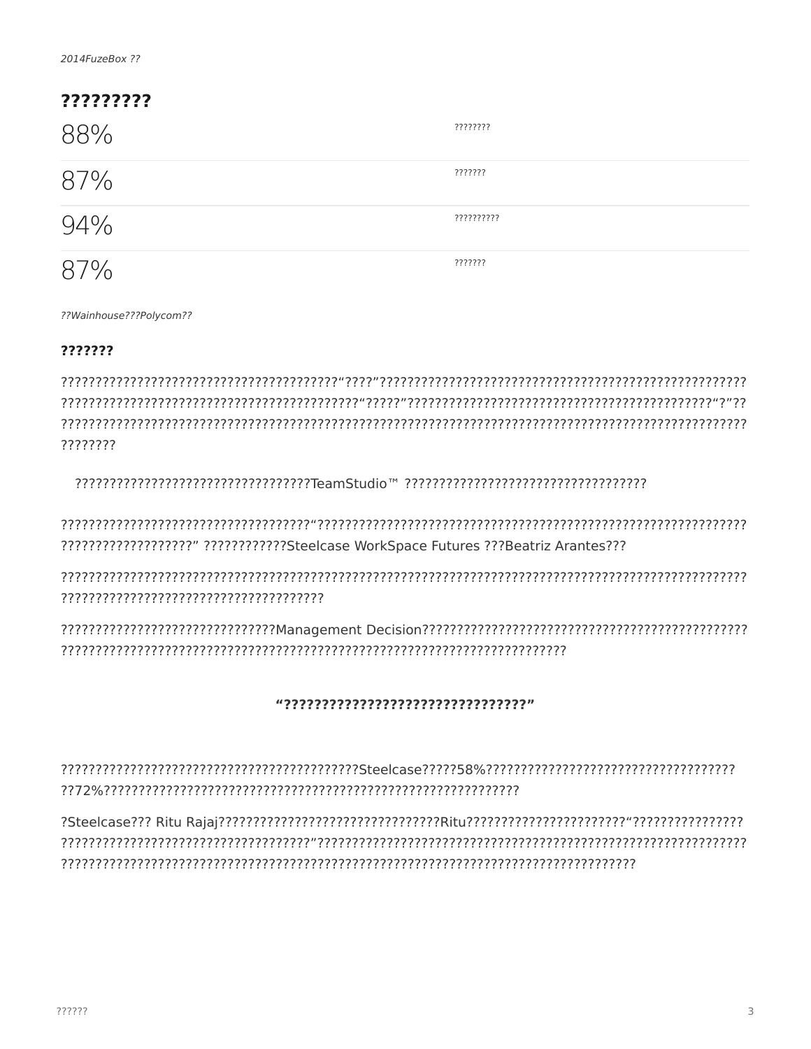| ????????? |            |  |
|-----------|------------|--|
| 88%       | ????????   |  |
| 87%       | ???????    |  |
| 94%       | ?????????? |  |
|           | ???????    |  |

??Wainhouse???Polycom??

#### ???????

????????

?????????????????????????????????TeamStudio™ ???????????????????????????????????

??????????????????? ????????????Steelcase WorkSpace Futures ???Beatriz Arantes???

#### "????????????????????????????????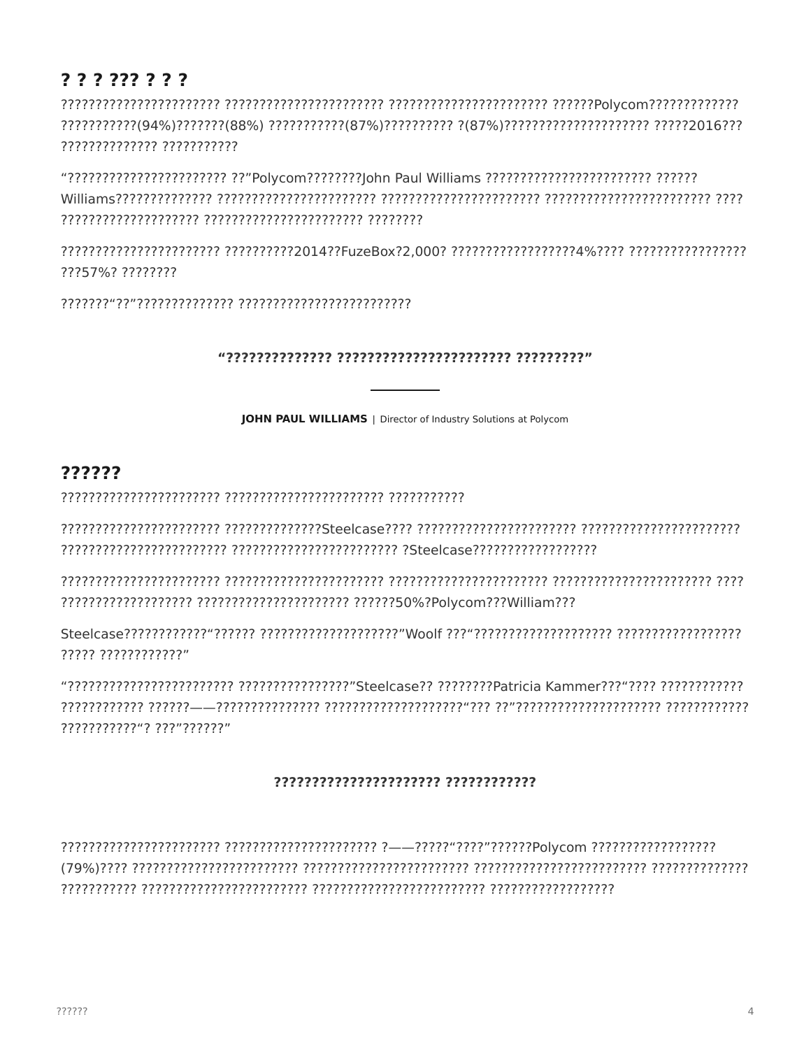## ? ? ? ??? ? ? ?

?????????????? ???????????

???57%? ????????

**JOHN PAUL WILLIAMS** | Director of Industry Solutions at Polycom

# ??????

77777 7777777777777"

???????????\*? ???"??????"

### ?????????????????????? ????????????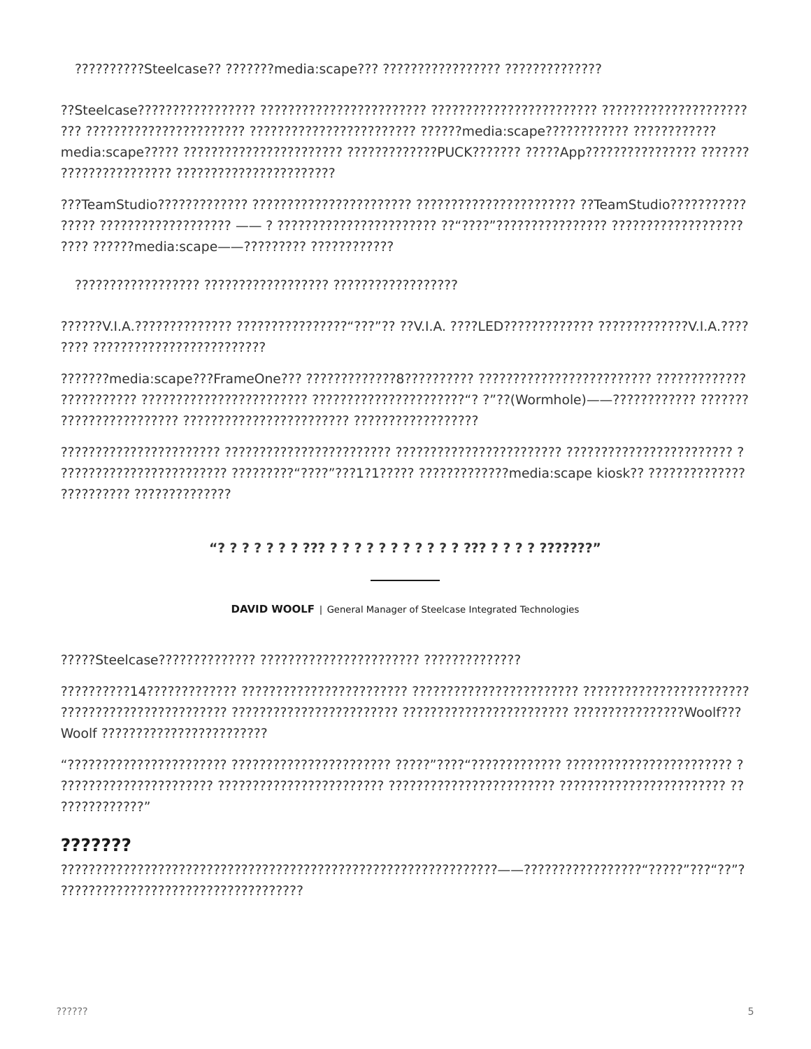??????????Steelcase?? ???????media:scape??? ??????????????? ???????????????

???? ???????media:scape--????????? ?????????????

?????????? ??????????????

**DAVID WOOLF** | General Manager of Steelcase Integrated Technologies

????????????

# ???????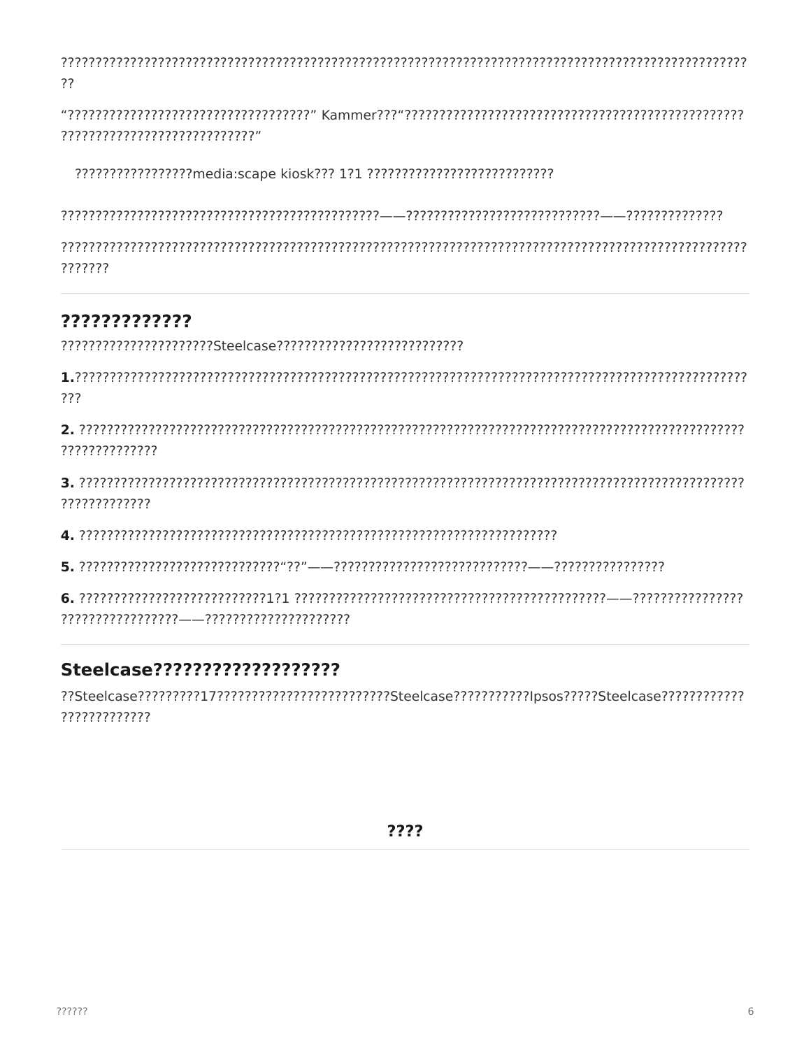```
??
```
?????????????????????????????

???????

# ?????????????

???

??????????????

?????????????

## 

??Steelcase?????????17???????????????????????Steelcase????????!psos?????Steelcase??????????????????? ?????????????

????